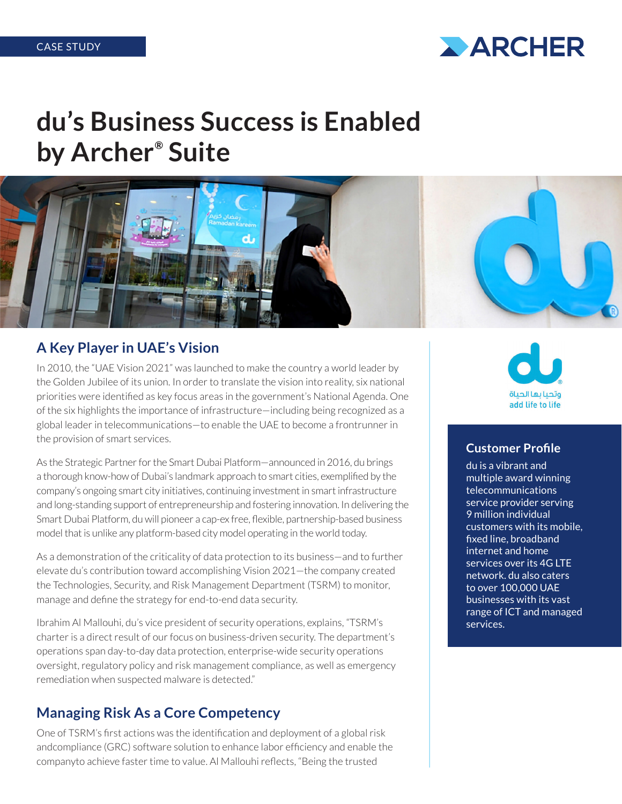

# **du's Business Success is Enabled by Archer® Suite**



#### **A Key Player in UAE's Vision**

In 2010, the "UAE Vision 2021" was launched to make the country a world leader by the Golden Jubilee of its union. In order to translate the vision into reality, six national priorities were identified as key focus areas in the government's National Agenda. One of the six highlights the importance of infrastructure—including being recognized as a global leader in telecommunications—to enable the UAE to become a frontrunner in the provision of smart services.

As the Strategic Partner for the Smart Dubai Platform—announced in 2016, du brings a thorough know-how of Dubai's landmark approach to smart cities, exemplified by the company's ongoing smart city initiatives, continuing investment in smart infrastructure and long-standing support of entrepreneurship and fostering innovation. In delivering the Smart Dubai Platform, du will pioneer a cap-ex free, flexible, partnership-based business model that is unlike any platform-based city model operating in the world today.

As a demonstration of the criticality of data protection to its business—and to further elevate du's contribution toward accomplishing Vision 2021—the company created the Technologies, Security, and Risk Management Department (TSRM) to monitor, manage and define the strategy for end-to-end data security.

Ibrahim Al Mallouhi, du's vice president of security operations, explains, "TSRM's charter is a direct result of our focus on business-driven security. The department's operations span day-to-day data protection, enterprise-wide security operations oversight, regulatory policy and risk management compliance, as well as emergency remediation when suspected malware is detected."

### **Managing Risk As a Core Competency**

One of TSRM's first actions was the identification and deployment of a global risk andcompliance (GRC) software solution to enhance labor efficiency and enable the companyto achieve faster time to value. Al Mallouhi reflects, "Being the trusted



#### **Customer Profile**

du is a vibrant and multiple award winning telecommunications service provider serving 9 million individual customers with its mobile, fixed line, broadband internet and home services over its 4G LTE network. du also caters to over 100,000 UAE businesses with its vast range of ICT and managed services.